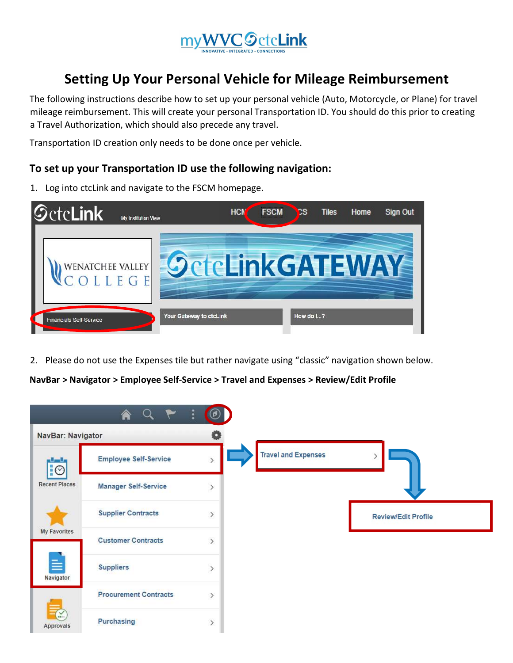

# Setting Up Your Personal Vehicle for Mileage Reimbursement

The following instructions describe how to set up your personal vehicle (Auto, Motorcycle, or Plane) for travel mileage reimbursement. This will create your personal Transportation ID. You should do this prior to creating a Travel Authorization, which should also precede any travel.

Transportation ID creation only needs to be done once per vehicle.

# To set up your Transportation ID use the following navigation:

- $\mathcal Q$ ctc**Link** HCM **FSCM** СS **Tiles** Home **Sign Out** My Institution View SeteLinkGATEWAY WENATCHEE VALLEY OLLEGE Your Gateway to ctcLink How do I...? **Financials Self-Service**
- 1. Log into ctcLink and navigate to the FSCM homepage.

2. Please do not use the Expenses tile but rather navigate using "classic" navigation shown below.

NavBar > Navigator > Employee Self-Service > Travel and Expenses > Review/Edit Profile